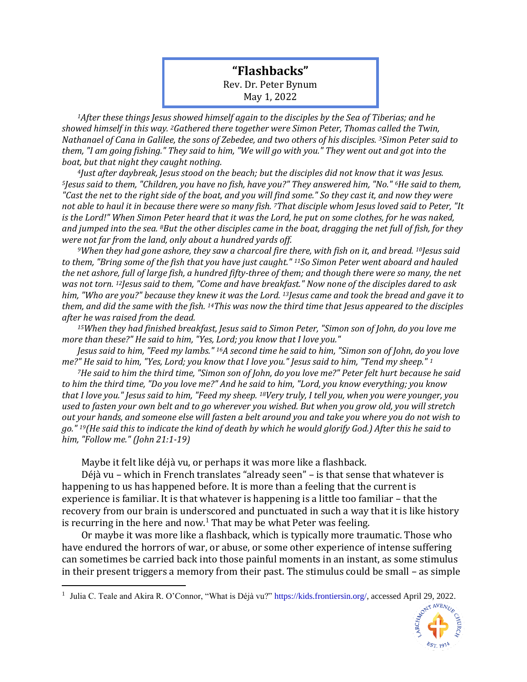## **"Flashbacks"** Rev. Dr. Peter Bynum May 1, 2022

*<sup>1</sup>After these things Jesus showed himself again to the disciples by the Sea of Tiberias; and he showed himself in this way. <sup>2</sup>Gathered there together were Simon Peter, Thomas called the Twin, Nathanael of Cana in Galilee, the sons of Zebedee, and two others of his disciples. <sup>3</sup>Simon Peter said to them, "I am going fishing." They said to him, "We will go with you." They went out and got into the boat, but that night they caught nothing.*

*<sup>4</sup>Just after daybreak, Jesus stood on the beach; but the disciples did not know that it was Jesus. <sup>5</sup>Jesus said to them, "Children, you have no fish, have you?" They answered him, "No." <sup>6</sup>He said to them, "Cast the net to the right side of the boat, and you will find some." So they cast it, and now they were not able to haul it in because there were so many fish. <sup>7</sup>That disciple whom Jesus loved said to Peter, "It is the Lord!" When Simon Peter heard that it was the Lord, he put on some clothes, for he was naked, and jumped into the sea. <sup>8</sup>But the other disciples came in the boat, dragging the net full of fish, for they were not far from the land, only about a hundred yards off.*

*<sup>9</sup>When they had gone ashore, they saw a charcoal fire there, with fish on it, and bread. <sup>10</sup>Jesus said to them, "Bring some of the fish that you have just caught." <sup>11</sup>So Simon Peter went aboard and hauled the net ashore, full of large fish, a hundred fifty-three of them; and though there were so many, the net was not torn. <sup>12</sup>Jesus said to them, "Come and have breakfast." Now none of the disciples dared to ask him, "Who are you?" because they knew it was the Lord. <sup>13</sup>Jesus came and took the bread and gave it to them, and did the same with the fish. <sup>14</sup>This was now the third time that Jesus appeared to the disciples after he was raised from the dead.*

*<sup>15</sup>When they had finished breakfast, Jesus said to Simon Peter, "Simon son of John, do you love me more than these?" He said to him, "Yes, Lord; you know that I love you."* 

*Jesus said to him, "Feed my lambs." <sup>16</sup>A second time he said to him, "Simon son of John, do you love me?" He said to him, "Yes, Lord; you know that I love you." Jesus said to him, "Tend my sheep." <sup>1</sup>*

*<sup>7</sup>He said to him the third time, "Simon son of John, do you love me?" Peter felt hurt because he said to him the third time, "Do you love me?" And he said to him, "Lord, you know everything; you know that I love you." Jesus said to him, "Feed my sheep. <sup>18</sup>Very truly, I tell you, when you were younger, you used to fasten your own belt and to go wherever you wished. But when you grow old, you will stretch out your hands, and someone else will fasten a belt around you and take you where you do not wish to go." <sup>19</sup>(He said this to indicate the kind of death by which he would glorify God.) After this he said to him, "Follow me." (John 21:1-19)*

Maybe it felt like déjà vu, or perhaps it was more like a flashback.

Déjà vu – which in French translates "already seen" – is that sense that whatever is happening to us has happened before. It is more than a feeling that the current is experience is familiar. It is that whatever is happening is a little too familiar – that the recovery from our brain is underscored and punctuated in such a way that it is like history is recurring in the here and now.<sup>1</sup> That may be what Peter was feeling.

Or maybe it was more like a flashback, which is typically more traumatic. Those who have endured the horrors of war, or abuse, or some other experience of intense suffering can sometimes be carried back into those painful moments in an instant, as some stimulus in their present triggers a memory from their past. The stimulus could be small – as simple

<sup>&</sup>lt;sup>1</sup> Julia C. Teale and Akira R. O'Connor, "What is Déjà vu?" [https://kids.frontiersin.org/,](https://kids.frontiersin.org/) accessed April 29, 2022.

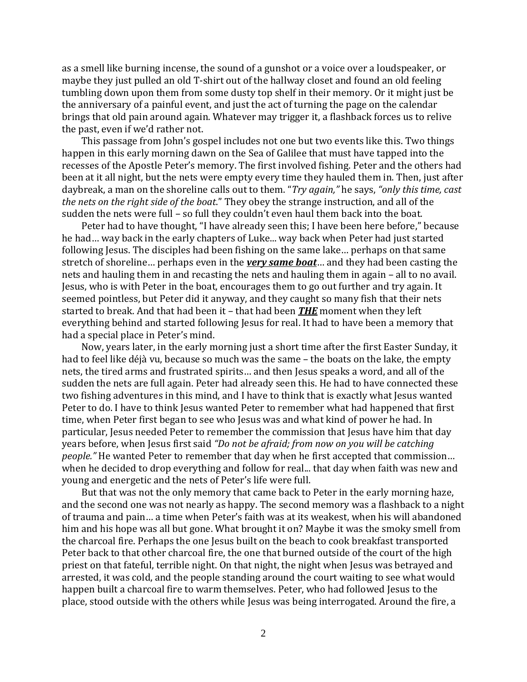as a smell like burning incense, the sound of a gunshot or a voice over a loudspeaker, or maybe they just pulled an old T-shirt out of the hallway closet and found an old feeling tumbling down upon them from some dusty top shelf in their memory. Or it might just be the anniversary of a painful event, and just the act of turning the page on the calendar brings that old pain around again. Whatever may trigger it, a flashback forces us to relive the past, even if we'd rather not.

This passage from John's gospel includes not one but two events like this. Two things happen in this early morning dawn on the Sea of Galilee that must have tapped into the recesses of the Apostle Peter's memory. The first involved fishing. Peter and the others had been at it all night, but the nets were empty every time they hauled them in. Then, just after daybreak, a man on the shoreline calls out to them. "*Try again,"* he says, *"only this time, cast the nets on the right side of the boat*." They obey the strange instruction, and all of the sudden the nets were full – so full they couldn't even haul them back into the boat.

Peter had to have thought, "I have already seen this; I have been here before," because he had… way back in the early chapters of Luke... way back when Peter had just started following Jesus. The disciples had been fishing on the same lake… perhaps on that same stretch of shoreline… perhaps even in the *very same boat*… and they had been casting the nets and hauling them in and recasting the nets and hauling them in again – all to no avail. Jesus, who is with Peter in the boat, encourages them to go out further and try again. It seemed pointless, but Peter did it anyway, and they caught so many fish that their nets started to break. And that had been it – that had been *THE* moment when they left everything behind and started following Jesus for real. It had to have been a memory that had a special place in Peter's mind.

Now, years later, in the early morning just a short time after the first Easter Sunday, it had to feel like déjà vu, because so much was the same – the boats on the lake, the empty nets, the tired arms and frustrated spirits… and then Jesus speaks a word, and all of the sudden the nets are full again. Peter had already seen this. He had to have connected these two fishing adventures in this mind, and I have to think that is exactly what Jesus wanted Peter to do. I have to think Jesus wanted Peter to remember what had happened that first time, when Peter first began to see who Jesus was and what kind of power he had. In particular, Jesus needed Peter to remember the commission that Jesus have him that day years before, when Jesus first said *"Do not be afraid; from now on you will be catching people."* He wanted Peter to remember that day when he first accepted that commission… when he decided to drop everything and follow for real... that day when faith was new and young and energetic and the nets of Peter's life were full.

But that was not the only memory that came back to Peter in the early morning haze, and the second one was not nearly as happy. The second memory was a flashback to a night of trauma and pain… a time when Peter's faith was at its weakest, when his will abandoned him and his hope was all but gone. What brought it on? Maybe it was the smoky smell from the charcoal fire. Perhaps the one Jesus built on the beach to cook breakfast transported Peter back to that other charcoal fire, the one that burned outside of the court of the high priest on that fateful, terrible night. On that night, the night when Jesus was betrayed and arrested, it was cold, and the people standing around the court waiting to see what would happen built a charcoal fire to warm themselves. Peter, who had followed Jesus to the place, stood outside with the others while Jesus was being interrogated. Around the fire, a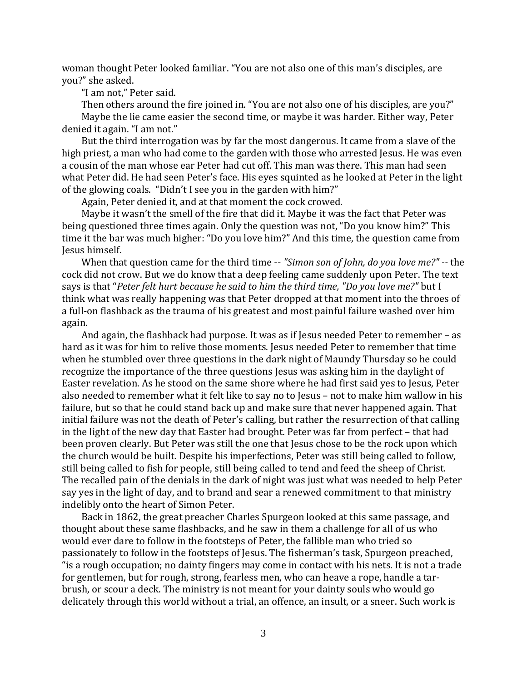woman thought Peter looked familiar. "You are not also one of this man's disciples, are you?" she asked.

"I am not," Peter said.

Then others around the fire joined in. "You are not also one of his disciples, are you?" Maybe the lie came easier the second time, or maybe it was harder. Either way, Peter denied it again. "I am not."

But the third interrogation was by far the most dangerous. It came from a slave of the high priest, a man who had come to the garden with those who arrested Jesus. He was even a cousin of the man whose ear Peter had cut off. This man was there. This man had seen what Peter did. He had seen Peter's face. His eyes squinted as he looked at Peter in the light of the glowing coals. "Didn't I see you in the garden with him?"

Again, Peter denied it, and at that moment the cock crowed.

Maybe it wasn't the smell of the fire that did it. Maybe it was the fact that Peter was being questioned three times again. Only the question was not, "Do you know him?" This time it the bar was much higher: "Do you love him?" And this time, the question came from Jesus himself.

When that question came for the third time -- *"Simon son of John, do you love me?" --* the cock did not crow. But we do know that a deep feeling came suddenly upon Peter. The text says is that "*Peter felt hurt because he said to him the third time, "Do you love me?"* but I think what was really happening was that Peter dropped at that moment into the throes of a full-on flashback as the trauma of his greatest and most painful failure washed over him again.

And again, the flashback had purpose. It was as if Jesus needed Peter to remember – as hard as it was for him to relive those moments. Jesus needed Peter to remember that time when he stumbled over three questions in the dark night of Maundy Thursday so he could recognize the importance of the three questions Jesus was asking him in the daylight of Easter revelation. As he stood on the same shore where he had first said yes to Jesus, Peter also needed to remember what it felt like to say no to Jesus – not to make him wallow in his failure, but so that he could stand back up and make sure that never happened again. That initial failure was not the death of Peter's calling, but rather the resurrection of that calling in the light of the new day that Easter had brought. Peter was far from perfect – that had been proven clearly. But Peter was still the one that Jesus chose to be the rock upon which the church would be built. Despite his imperfections, Peter was still being called to follow, still being called to fish for people, still being called to tend and feed the sheep of Christ. The recalled pain of the denials in the dark of night was just what was needed to help Peter say yes in the light of day, and to brand and sear a renewed commitment to that ministry indelibly onto the heart of Simon Peter.

Back in 1862, the great preacher Charles Spurgeon looked at this same passage, and thought about these same flashbacks, and he saw in them a challenge for all of us who would ever dare to follow in the footsteps of Peter, the fallible man who tried so passionately to follow in the footsteps of Jesus. The fisherman's task, Spurgeon preached, "is a rough occupation; no dainty fingers may come in contact with his nets. It is not a trade for gentlemen, but for rough, strong, fearless men, who can heave a rope, handle a tarbrush, or scour a deck. The ministry is not meant for your dainty souls who would go delicately through this world without a trial, an offence, an insult, or a sneer. Such work is